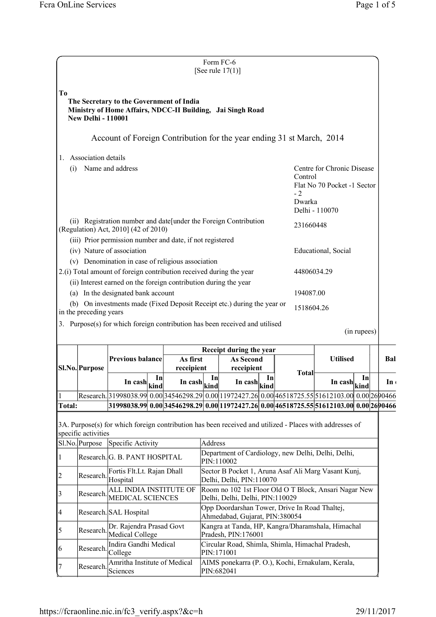|                                      |                           |                                                                                                                                                                       |    |                                                        |         | Form FC-6<br>[See rule $17(1)$ ]                                                                                     |    |                           |                                                           |             |                 |
|--------------------------------------|---------------------------|-----------------------------------------------------------------------------------------------------------------------------------------------------------------------|----|--------------------------------------------------------|---------|----------------------------------------------------------------------------------------------------------------------|----|---------------------------|-----------------------------------------------------------|-------------|-----------------|
| T <sub>0</sub>                       | <b>New Delhi - 110001</b> | The Secretary to the Government of India<br>Ministry of Home Affairs, NDCC-II Building, Jai Singh Road                                                                |    |                                                        |         |                                                                                                                      |    |                           |                                                           |             |                 |
|                                      |                           | Account of Foreign Contribution for the year ending 31 st March, 2014                                                                                                 |    |                                                        |         |                                                                                                                      |    |                           |                                                           |             |                 |
| 1.                                   | Association details       |                                                                                                                                                                       |    |                                                        |         |                                                                                                                      |    |                           |                                                           |             |                 |
| (i)                                  |                           | Name and address                                                                                                                                                      |    |                                                        |         |                                                                                                                      |    | Control<br>$-2$<br>Dwarka | Centre for Chronic Disease<br>Flat No 70 Pocket -1 Sector |             |                 |
|                                      |                           |                                                                                                                                                                       |    |                                                        |         |                                                                                                                      |    |                           | Delhi - 110070                                            |             |                 |
|                                      |                           | (ii) Registration number and date[under the Foreign Contribution<br>(Regulation) Act, 2010] (42 of 2010)<br>(iii) Prior permission number and date, if not registered |    |                                                        |         |                                                                                                                      |    | 231660448                 |                                                           |             |                 |
|                                      |                           | (iv) Nature of association<br>(v) Denomination in case of religious association                                                                                       |    |                                                        |         |                                                                                                                      |    |                           | Educational, Social                                       |             |                 |
|                                      |                           | 2.(i) Total amount of foreign contribution received during the year<br>(ii) Interest earned on the foreign contribution during the year                               |    |                                                        |         |                                                                                                                      |    | 44806034.29               |                                                           |             |                 |
|                                      |                           | (a) In the designated bank account                                                                                                                                    |    |                                                        |         |                                                                                                                      |    | 194087.00                 |                                                           |             |                 |
|                                      | in the preceding years    | (b) On investments made (Fixed Deposit Receipt etc.) during the year or                                                                                               |    |                                                        |         |                                                                                                                      |    | 1518604.26                |                                                           |             |                 |
|                                      |                           |                                                                                                                                                                       |    |                                                        |         |                                                                                                                      |    |                           |                                                           |             |                 |
|                                      |                           | 3. Purpose(s) for which foreign contribution has been received and utilised                                                                                           |    |                                                        |         |                                                                                                                      |    |                           |                                                           | (in rupees) |                 |
|                                      |                           |                                                                                                                                                                       |    |                                                        |         | Receipt during the year                                                                                              |    |                           |                                                           |             |                 |
|                                      | SI.No. Purpose            | <b>Previous balance</b>                                                                                                                                               |    | As first<br>receipient                                 |         | <b>As Second</b><br>receipient                                                                                       |    |                           | <b>Utilised</b>                                           |             | Bal             |
|                                      |                           | In cash $\left \frac{\text{kind}}{\text{kind}}\right $                                                                                                                | In | In $\cosh\left \frac{\sinh\theta}{\sinh\theta}\right $ | In      | In cash $\left \frac{\text{kin}}{\text{kin}}\right $                                                                 | In | <b>Total</b>              | In cash $\left \text{kind}\right $                        | In          | In <sub>1</sub> |
|                                      |                           | Research. 31998038.99 0.00 34546298.29 0.00 11972427.26 0.00 46518725.55 51612103.00 0.00 26 0466                                                                     |    |                                                        |         |                                                                                                                      |    |                           |                                                           |             |                 |
| <b>Total:</b>                        | specific activities       | 3A. Purpose(s) for which foreign contribution has been received and utilized - Places with addresses of                                                               |    |                                                        |         | 31998038.99 0.00 34546298.29 0.00 11972427.26 0.00 46518725.55 51612103.00 0.00 2690466                              |    |                           |                                                           |             |                 |
|                                      | Sl.No. Purpose            | Specific Activity                                                                                                                                                     |    |                                                        | Address | Department of Cardiology, new Delhi, Delhi, Delhi,                                                                   |    |                           |                                                           |             |                 |
|                                      | Research.                 | Research. G. B. PANT HOSPITAL<br>Fortis Flt.Lt. Rajan Dhall                                                                                                           |    |                                                        |         | PIN:110002<br>Sector B Pocket 1, Aruna Asaf Ali Marg Vasant Kunj,                                                    |    |                           |                                                           |             |                 |
|                                      | Research.                 | Hospital<br>ALL INDIA INSTITUTE OF<br>MEDICAL SCIENCES                                                                                                                |    |                                                        |         | Delhi, Delhi, PIN:110070<br>Room no 102 1st Floor Old O T Block, Ansari Nagar New<br>Delhi, Delhi, Delhi, PIN:110029 |    |                           |                                                           |             |                 |
|                                      |                           | Research. SAL Hospital                                                                                                                                                |    |                                                        |         | Opp Doordarshan Tower, Drive In Road Thaltej,<br>Ahmedabad, Gujarat, PIN:380054                                      |    |                           |                                                           |             |                 |
|                                      | Research.                 | Dr. Rajendra Prasad Govt<br>Medical College                                                                                                                           |    |                                                        |         | Kangra at Tanda, HP, Kangra/Dharamshala, Himachal<br>Pradesh, PIN:176001                                             |    |                           |                                                           |             |                 |
| $\vert$ 1<br> 2<br>3<br> 4<br>5<br>6 | Research.                 | Indira Gandhi Medical<br>College                                                                                                                                      |    |                                                        |         | Circular Road, Shimla, Shimla, Himachal Pradesh,<br>PIN:171001                                                       |    |                           |                                                           |             |                 |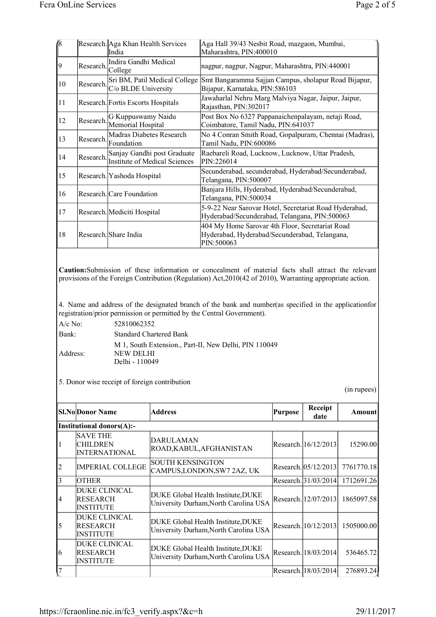| 18                           |                                                                                  | Research. Aga Khan Health Services<br>India                                                        |                                                                                          | Aga Hall 39/43 Nesbit Road, mazgaon, Mumbai,<br>Maharashtra, PIN:400010                                                                                                                                                                     |         |                      |               |  |
|------------------------------|----------------------------------------------------------------------------------|----------------------------------------------------------------------------------------------------|------------------------------------------------------------------------------------------|---------------------------------------------------------------------------------------------------------------------------------------------------------------------------------------------------------------------------------------------|---------|----------------------|---------------|--|
| 9                            | Research.                                                                        | Indira Gandhi Medical<br>College                                                                   |                                                                                          | nagpur, nagpur, Nagpur, Maharashtra, PIN:440001                                                                                                                                                                                             |         |                      |               |  |
| 10                           | Research.                                                                        | C/o BLDE University                                                                                | Sri BM, Patil Medical College                                                            | Smt Bangaramma Sajjan Campus, sholapur Road Bijapur,<br>Bijapur, Karnataka, PIN:586103                                                                                                                                                      |         |                      |               |  |
| 11                           | Research. Fortis Escorts Hospitals                                               |                                                                                                    | Jawaharlal Nehru Marg Malviya Nagar, Jaipur, Jaipur,<br>Rajasthan, PIN:302017            |                                                                                                                                                                                                                                             |         |                      |               |  |
| 12                           | G Kuppuswamy Naidu<br>Research.<br>Memorial Hospital                             |                                                                                                    | Post Box No 6327 Pappanaichenpalayam, netaji Road,<br>Coimbatore, Tamil Nadu, PIN:641037 |                                                                                                                                                                                                                                             |         |                      |               |  |
| 13                           | Madras Diabetes Research<br>Research.<br>Foundation                              |                                                                                                    | No 4 Conran Smith Road, Gopalpuram, Chennai (Madras),<br>Tamil Nadu, PIN:600086          |                                                                                                                                                                                                                                             |         |                      |               |  |
| 14                           | Sanjay Gandhi post Graduate<br>Research.<br><b>Institute of Medical Sciences</b> |                                                                                                    | Raebareli Road, Lucknow, Lucknow, Uttar Pradesh,<br>PIN:226014                           |                                                                                                                                                                                                                                             |         |                      |               |  |
| 15                           | Research. Yashoda Hospital                                                       |                                                                                                    |                                                                                          | Secunderabad, secunderabad, Hyderabad/Secunderabad,<br>Telangana, PIN:500007                                                                                                                                                                |         |                      |               |  |
| 16                           |                                                                                  | Research. Care Foundation                                                                          |                                                                                          | Banjara Hills, Hyderabad, Hyderabad/Secunderabad,<br>Telangana, PIN:500034                                                                                                                                                                  |         |                      |               |  |
| 17                           |                                                                                  | Research. Mediciti Hospital                                                                        |                                                                                          | 5-9-22 Near Sarovar Hotel, Secretariat Road Hyderabad,<br>Hyderabad/Secunderabad, Telangana, PIN:500063                                                                                                                                     |         |                      |               |  |
| 18                           |                                                                                  | Research. Share India                                                                              |                                                                                          | 404 My Home Sarovar 4th Floor, Secretariat Road<br>Hyderabad, Hyderabad/Secunderabad, Telangana,<br>PIN:500063                                                                                                                              |         |                      |               |  |
| A/c No:<br>Bank:<br>Address: |                                                                                  | 52810062352<br><b>NEW DELHI</b><br>Delhi - 110049<br>5. Donor wise receipt of foreign contribution | <b>Standard Chartered Bank</b>                                                           | 4. Name and address of the designated branch of the bank and number (as specified in the application for<br>registration/prior permission or permitted by the Central Government).<br>M 1, South Extension., Part-II, New Delhi, PIN 110049 |         |                      | (in rupees)   |  |
|                              | <b>Sl.No</b> Donor Name                                                          |                                                                                                    | <b>Address</b>                                                                           |                                                                                                                                                                                                                                             | Purpose | Receipt<br>date      | <b>Amount</b> |  |
|                              | <b>Institutional donors(A):-</b>                                                 |                                                                                                    |                                                                                          |                                                                                                                                                                                                                                             |         |                      |               |  |
| 1                            | <b>SAVE THE</b><br><b>CHILDREN</b><br><b>INTERNATIONAL</b>                       |                                                                                                    | DARULAMAN                                                                                | ROAD, KABUL, AFGHANISTAN                                                                                                                                                                                                                    |         | Research. 16/12/2013 | 15290.00      |  |
| $\overline{c}$               |                                                                                  | <b>IMPERIAL COLLEGE</b>                                                                            | <b>SOUTH KENSINGTON</b><br>CAMPUS,LONDON,SW7 2AZ, UK                                     |                                                                                                                                                                                                                                             |         | Research. 05/12/2013 | 7761770.18    |  |
| $\overline{\mathbf{3}}$      | <b>OTHER</b>                                                                     |                                                                                                    |                                                                                          |                                                                                                                                                                                                                                             |         | Research. 31/03/2014 | 1712691.26    |  |
| 4                            | <b>DUKE CLINICAL</b><br>RESEARCH<br><b>INSTITUTE</b>                             |                                                                                                    |                                                                                          | DUKE Global Health Institute, DUKE<br>University Durham, North Carolina USA                                                                                                                                                                 |         | Research. 12/07/2013 | 1865097.58    |  |
| 5                            | <b>DUKE CLINICAL</b><br><b>RESEARCH</b><br><b>INSTITUTE</b>                      |                                                                                                    |                                                                                          | DUKE Global Health Institute, DUKE<br>University Durham, North Carolina USA                                                                                                                                                                 |         | Research. 10/12/2013 | 1505000.00    |  |
| 6                            | <b>DUKE CLINICAL</b><br><b>RESEARCH</b><br><b>INSTITUTE</b>                      |                                                                                                    |                                                                                          | DUKE Global Health Institute, DUKE<br>University Durham, North Carolina USA                                                                                                                                                                 |         | Research. 18/03/2014 | 536465.72     |  |
| Į7                           |                                                                                  |                                                                                                    |                                                                                          |                                                                                                                                                                                                                                             |         | Research. 18/03/2014 | 276893.24     |  |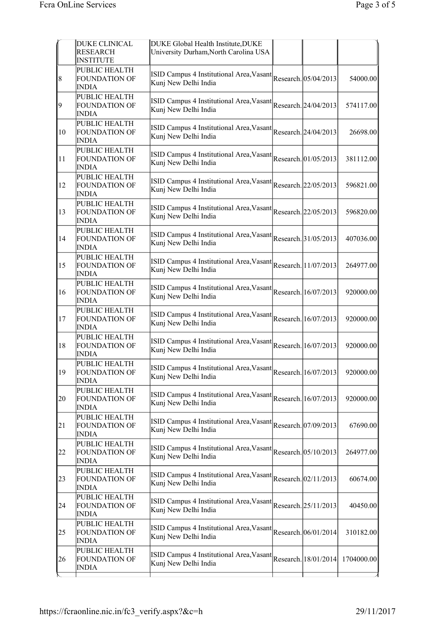|               | <b>DUKE CLINICAL</b><br><b>RESEARCH</b><br><b>INSTITUTE</b> | DUKE Global Health Institute, DUKE<br>University Durham, North Carolina USA           |                      |            |
|---------------|-------------------------------------------------------------|---------------------------------------------------------------------------------------|----------------------|------------|
| 8             | PUBLIC HEALTH<br><b>FOUNDATION OF</b><br><b>INDIA</b>       | ISID Campus 4 Institutional Area, Vasant<br>Kunj New Delhi India                      | Research. 05/04/2013 | 54000.00   |
| 9             | PUBLIC HEALTH<br><b>FOUNDATION OF</b><br><b>INDIA</b>       | ISID Campus 4 Institutional Area, Vasant<br>Kunj New Delhi India                      | Research. 24/04/2013 | 574117.00  |
| 10            | PUBLIC HEALTH<br><b>FOUNDATION OF</b><br>INDIA              | ISID Campus 4 Institutional Area, Vasant<br>Kunj New Delhi India                      | Research. 24/04/2013 | 26698.00   |
| 11            | PUBLIC HEALTH<br><b>FOUNDATION OF</b><br>INDIA              | ISID Campus 4 Institutional Area, Vasant<br>Kunj New Delhi India                      | Research. 01/05/2013 | 381112.00  |
| 12            | PUBLIC HEALTH<br><b>FOUNDATION OF</b><br><b>INDIA</b>       | ISID Campus 4 Institutional Area, Vasant<br>Kunj New Delhi India                      | Research. 22/05/2013 | 596821.00  |
| 13            | PUBLIC HEALTH<br><b>FOUNDATION OF</b><br><b>INDIA</b>       | ISID Campus 4 Institutional Area, Vasant Research. 22/05/2013<br>Kunj New Delhi India |                      | 596820.00  |
| 14            | PUBLIC HEALTH<br><b>FOUNDATION OF</b><br><b>INDIA</b>       | ISID Campus 4 Institutional Area, Vasant Research. 31/05/2013<br>Kunj New Delhi India |                      | 407036.00  |
| <sup>15</sup> | PUBLIC HEALTH<br><b>FOUNDATION OF</b><br><b>INDIA</b>       | ISID Campus 4 Institutional Area, Vasant Research. 11/07/2013<br>Kunj New Delhi India |                      | 264977.00  |
| 16            | PUBLIC HEALTH<br><b>FOUNDATION OF</b><br><b>INDIA</b>       | ISID Campus 4 Institutional Area, Vasant Research. 16/07/2013<br>Kunj New Delhi India |                      | 920000.00  |
| 17            | PUBLIC HEALTH<br><b>FOUNDATION OF</b><br><b>INDIA</b>       | ISID Campus 4 Institutional Area, Vasant Research. 16/07/2013<br>Kunj New Delhi India |                      | 920000.00  |
| 18            | PUBLIC HEALTH<br>FOUNDATION OF<br><b>INDIA</b>              | ISID Campus 4 Institutional Area, Vasant Research. 16/07/2013<br>Kunj New Delhi India |                      | 920000.00  |
| <sup>19</sup> | PUBLIC HEALTH<br>FOUNDATION OF<br><b>INDIA</b>              | ISID Campus 4 Institutional Area, Vasant Research. 16/07/2013<br>Kunj New Delhi India |                      | 920000.00  |
| 20            | PUBLIC HEALTH<br><b>FOUNDATION OF</b><br><b>INDIA</b>       | ISID Campus 4 Institutional Area, Vasant<br>Kunj New Delhi India                      | Research. 16/07/2013 | 920000.00  |
| 21            | PUBLIC HEALTH<br><b>FOUNDATION OF</b><br><b>INDIA</b>       | ISID Campus 4 Institutional Area, Vasant<br>Kunj New Delhi India                      | Research. 07/09/2013 | 67690.00   |
| 22            | PUBLIC HEALTH<br><b>FOUNDATION OF</b><br><b>INDIA</b>       | ISID Campus 4 Institutional Area, Vasant<br>Kunj New Delhi India                      | Research. 05/10/2013 | 264977.00  |
| 23            | PUBLIC HEALTH<br><b>FOUNDATION OF</b><br><b>INDIA</b>       | ISID Campus 4 Institutional Area, Vasant<br>Kunj New Delhi India                      | Research. 02/11/2013 | 60674.00   |
| 24            | PUBLIC HEALTH<br><b>FOUNDATION OF</b><br>INDIA              | ISID Campus 4 Institutional Area, Vasant<br>Kunj New Delhi India                      | Research. 25/11/2013 | 40450.00   |
| 25            | PUBLIC HEALTH<br><b>FOUNDATION OF</b><br><b>INDIA</b>       | ISID Campus 4 Institutional Area, Vasant<br>Kunj New Delhi India                      | Research. 06/01/2014 | 310182.00  |
| 26            | PUBLIC HEALTH<br>FOUNDATION OF<br>INDIA                     | ISID Campus 4 Institutional Area, Vasant<br>Kunj New Delhi India                      | Research. 18/01/2014 | 1704000.00 |
|               |                                                             |                                                                                       |                      |            |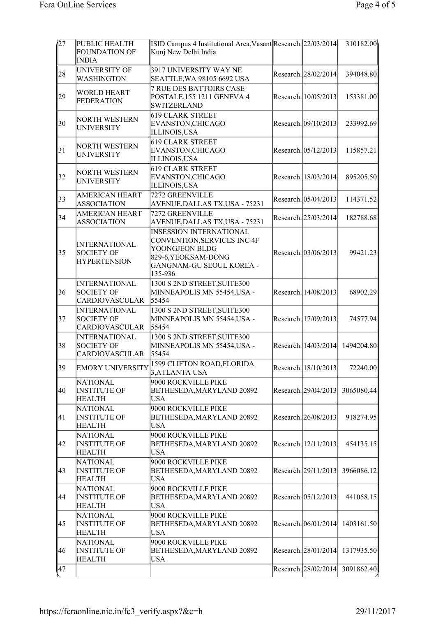| $\sqrt{27}$ | PUBLIC HEALTH<br><b>FOUNDATION OF</b><br><b>INDIA</b>              | ISID Campus 4 Institutional Area, Vasant Research. 22/03/2014<br>Kunj New Delhi India                                                         |                      | 310182.00                       |
|-------------|--------------------------------------------------------------------|-----------------------------------------------------------------------------------------------------------------------------------------------|----------------------|---------------------------------|
| 28          | UNIVERSITY OF<br><b>WASHINGTON</b>                                 | 3917 UNIVERSITY WAY NE<br>SEATTLE, WA 98105 6692 USA                                                                                          | Research. 28/02/2014 | 394048.80                       |
| 29          | <b>WORLD HEART</b><br><b>FEDERATION</b>                            | <b>7 RUE DES BATTOIRS CASE</b><br>POSTALE, 155 1211 GENEVA 4<br><b>SWITZERLAND</b>                                                            | Research. 10/05/2013 | 153381.00                       |
| 30          | <b>NORTH WESTERN</b><br><b>UNIVERSITY</b>                          | <b>619 CLARK STREET</b><br>EVANSTON, CHICAGO<br><b>ILLINOIS, USA</b>                                                                          | Research. 09/10/2013 | 233992.69                       |
| 31          | <b>NORTH WESTERN</b><br><b>UNIVERSITY</b>                          | <b>619 CLARK STREET</b><br>EVANSTON, CHICAGO<br>ILLINOIS,USA                                                                                  | Research. 05/12/2013 | 115857.21                       |
| 32          | <b>NORTH WESTERN</b><br><b>UNIVERSITY</b>                          | 619 CLARK STREET<br>EVANSTON, CHICAGO<br>ILLINOIS,USA                                                                                         | Research. 18/03/2014 | 895205.50                       |
| 33          | <b>AMERICAN HEART</b><br><b>ASSOCIATION</b>                        | 7272 GREENVILLE<br>AVENUE, DALLAS TX, USA - 75231                                                                                             | Research. 05/04/2013 | 114371.52                       |
| 34          | <b>AMERICAN HEART</b><br><b>ASSOCIATION</b>                        | 7272 GREENVILLE<br>AVENUE, DALLAS TX, USA - 75231                                                                                             | Research. 25/03/2014 | 182788.68                       |
| 35          | <b>INTERNATIONAL</b><br><b>SOCIETY OF</b><br><b>HYPERTENSION</b>   | <b>INSESSION INTERNATIONAL</b><br>CONVENTION, SERVICES INC 4F<br>YOONGJEON BLDG<br>829-6, YEOKSAM-DONG<br>GANGNAM-GU SEOUL KOREA -<br>135-936 | Research. 03/06/2013 | 99421.23                        |
| 36          | <b>INTERNATIONAL</b><br><b>SOCIETY OF</b><br><b>CARDIOVASCULAR</b> | 1300 S 2ND STREET, SUITE300<br>MINNEAPOLIS MN 55454,USA -<br>55454                                                                            | Research. 14/08/2013 | 68902.29                        |
| 37          | <b>INTERNATIONAL</b><br><b>SOCIETY OF</b><br><b>CARDIOVASCULAR</b> | 1300 S 2ND STREET, SUITE300<br>MINNEAPOLIS MN 55454,USA -<br>55454                                                                            | Research. 17/09/2013 | 74577.94                        |
| 38          | <b>INTERNATIONAL</b><br><b>SOCIETY OF</b><br><b>CARDIOVASCULAR</b> | 1300 S 2ND STREET, SUITE300<br>MINNEAPOLIS MN 55454,USA -<br>55454                                                                            |                      | Research. 14/03/2014 1494204.80 |
| 39          | <b>EMORY UNIVERSITY</b>                                            | 1599 CLIFTON ROAD, FLORIDA<br>3, ATLANTA USA                                                                                                  | Research. 18/10/2013 | 72240.00                        |
| 40          | <b>NATIONAL</b><br><b>INSTITUTE OF</b><br><b>HEALTH</b>            | 9000 ROCKVILLE PIKE<br>BETHESEDA, MARYLAND 20892<br><b>USA</b>                                                                                | Research. 29/04/2013 | 3065080.44                      |
| 41          | <b>NATIONAL</b><br><b>INSTITUTE OF</b><br><b>HEALTH</b>            | 9000 ROCKVILLE PIKE<br>BETHESEDA, MARYLAND 20892<br><b>USA</b>                                                                                | Research. 26/08/2013 | 918274.95                       |
| 42          | <b>NATIONAL</b><br><b>INSTITUTE OF</b><br><b>HEALTH</b>            | 9000 ROCKVILLE PIKE<br>BETHESEDA, MARYLAND 20892<br><b>USA</b>                                                                                | Research. 12/11/2013 | 454135.15                       |
| 43          | <b>NATIONAL</b><br><b>INSTITUTE OF</b><br><b>HEALTH</b>            | 9000 ROCKVILLE PIKE<br>BETHESEDA, MARYLAND 20892<br>USA                                                                                       | Research. 29/11/2013 | 3966086.12                      |
| 44          | <b>NATIONAL</b><br><b>INSTITUTE OF</b><br><b>HEALTH</b>            | 9000 ROCKVILLE PIKE<br>BETHESEDA, MARYLAND 20892<br><b>USA</b>                                                                                | Research. 05/12/2013 | 441058.15                       |
| 45          | <b>NATIONAL</b><br><b>INSTITUTE OF</b><br><b>HEALTH</b>            | 9000 ROCKVILLE PIKE<br>BETHESEDA, MARYLAND 20892<br><b>USA</b>                                                                                | Research. 06/01/2014 | 1403161.50                      |
| 46          | <b>NATIONAL</b><br><b>INSTITUTE OF</b><br><b>HEALTH</b>            | 9000 ROCKVILLE PIKE<br>BETHESEDA, MARYLAND 20892<br><b>USA</b>                                                                                | Research. 28/01/2014 | 1317935.50                      |
| 47          |                                                                    |                                                                                                                                               | Research. 28/02/2014 | 3091862.40                      |